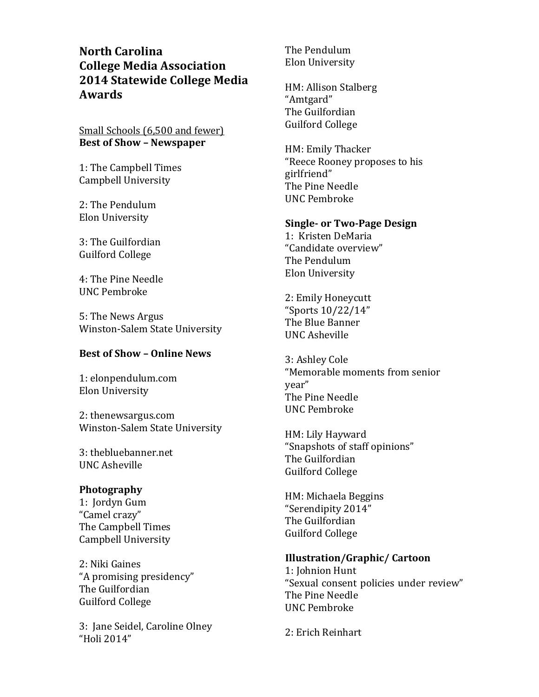**North Carolina College Media Association 2014 Statewide College Media Awards**

Small Schools (6,500 and fewer) **Best of Show – Newspaper**

1: The Campbell Times Campbell University

2: The Pendulum Elon University

3: The Guilfordian Guilford College

4: The Pine Needle UNC Pembroke

5: The News Argus Winston-Salem State University

# **Best of Show – Online News**

1: elonpendulum.com Elon University

2: thenewsargus.com Winston-Salem State University

3: thebluebanner.net UNC Asheville

## **Photography**

1: Jordyn Gum "Camel crazy" The Campbell Times Campbell University

2: Niki Gaines "A promising presidency" The Guilfordian Guilford College

3: Jane Seidel, Caroline Olney "Holi 2014"

The Pendulum Elon University

HM: Allison Stalberg "Amtgard" The Guilfordian Guilford College

HM: Emily Thacker "Reece Rooney proposes to his girlfriend" The Pine Needle UNC Pembroke

### **Single- or Two-Page Design**

1: Kristen DeMaria "Candidate overview" The Pendulum Elon University

2: Emily Honeycutt "Sports 10/22/14" The Blue Banner UNC Asheville

3: Ashley Cole "Memorable moments from senior year" The Pine Needle UNC Pembroke

HM: Lily Hayward "Snapshots of staff opinions" The Guilfordian Guilford College

HM: Michaela Beggins "Serendipity 2014" The Guilfordian Guilford College

## **Illustration/Graphic/ Cartoon**

1: Johnion Hunt "Sexual consent policies under review" The Pine Needle UNC Pembroke

2: Erich Reinhart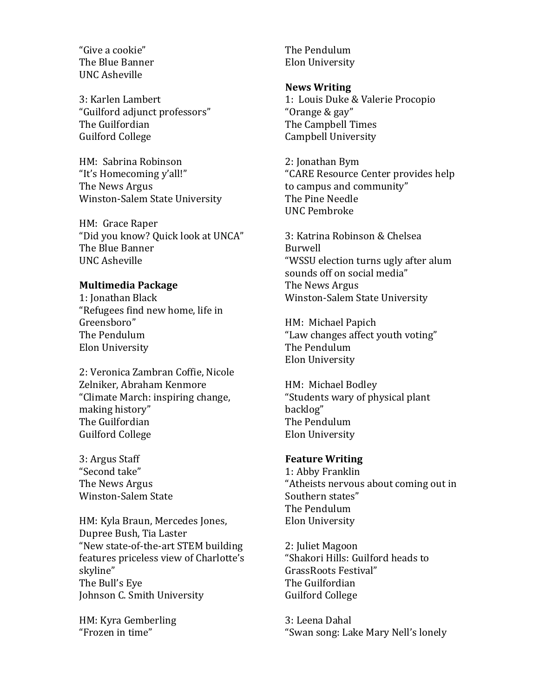"Give a cookie" The Blue Banner UNC Asheville

3: Karlen Lambert "Guilford adjunct professors" The Guilfordian Guilford College

HM: Sabrina Robinson "It's Homecoming y'all!" The News Argus Winston-Salem State University

HM: Grace Raper "Did you know? Quick look at UNCA" The Blue Banner UNC Asheville

# **Multimedia Package**

1: Jonathan Black "Refugees find new home, life in Greensboro" The Pendulum Elon University

2: Veronica Zambran Coffie, Nicole Zelniker, Abraham Kenmore "Climate March: inspiring change, making history" The Guilfordian Guilford College

3: Argus Staff "Second take" The News Argus Winston-Salem State

HM: Kyla Braun, Mercedes Jones, Dupree Bush, Tia Laster "New state-of-the-art STEM building features priceless view of Charlotte's skyline" The Bull's Eye Johnson C. Smith University

HM: Kyra Gemberling "Frozen in time"

The Pendulum Elon University

# **News Writing**

1: Louis Duke & Valerie Procopio "Orange & gay" The Campbell Times Campbell University

2: Jonathan Bym "CARE Resource Center provides help to campus and community" The Pine Needle UNC Pembroke

3: Katrina Robinson & Chelsea Burwell "WSSU election turns ugly after alum sounds off on social media" The News Argus Winston-Salem State University

HM: Michael Papich "Law changes affect youth voting" The Pendulum Elon University

HM: Michael Bodley "Students wary of physical plant backlog" The Pendulum Elon University

# **Feature Writing**

1: Abby Franklin "Atheists nervous about coming out in Southern states" The Pendulum Elon University

2: Juliet Magoon "Shakori Hills: Guilford heads to GrassRoots Festival" The Guilfordian Guilford College

3: Leena Dahal "Swan song: Lake Mary Nell's lonely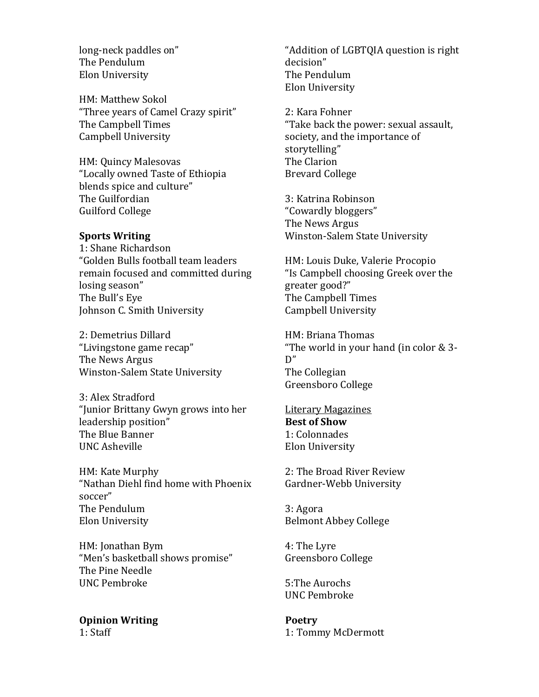long-neck paddles on" The Pendulum Elon University

HM: Matthew Sokol "Three years of Camel Crazy spirit" The Campbell Times Campbell University

HM: Quincy Malesovas "Locally owned Taste of Ethiopia blends spice and culture" The Guilfordian Guilford College

#### **Sports Writing**

1: Shane Richardson "Golden Bulls football team leaders remain focused and committed during losing season" The Bull's Eye Johnson C. Smith University

2: Demetrius Dillard "Livingstone game recap" The News Argus Winston-Salem State University

3: Alex Stradford "Junior Brittany Gwyn grows into her leadership position" The Blue Banner UNC Asheville

HM: Kate Murphy "Nathan Diehl find home with Phoenix soccer" The Pendulum Elon University

HM: Jonathan Bym "Men's basketball shows promise" The Pine Needle UNC Pembroke

**Opinion Writing** 1: Staff

"Addition of LGBTQIA question is right decision" The Pendulum Elon University

2: Kara Fohner "Take back the power: sexual assault, society, and the importance of storytelling" The Clarion Brevard College

3: Katrina Robinson "Cowardly bloggers" The News Argus Winston-Salem State University

HM: Louis Duke, Valerie Procopio "Is Campbell choosing Greek over the greater good?" The Campbell Times Campbell University

HM: Briana Thomas "The world in your hand (in color & 3- D" The Collegian Greensboro College

Literary Magazines **Best of Show** 1: Colonnades Elon University

2: The Broad River Review Gardner-Webb University

3: Agora Belmont Abbey College

4: The Lyre Greensboro College

5:The Aurochs UNC Pembroke

**Poetry** 1: Tommy McDermott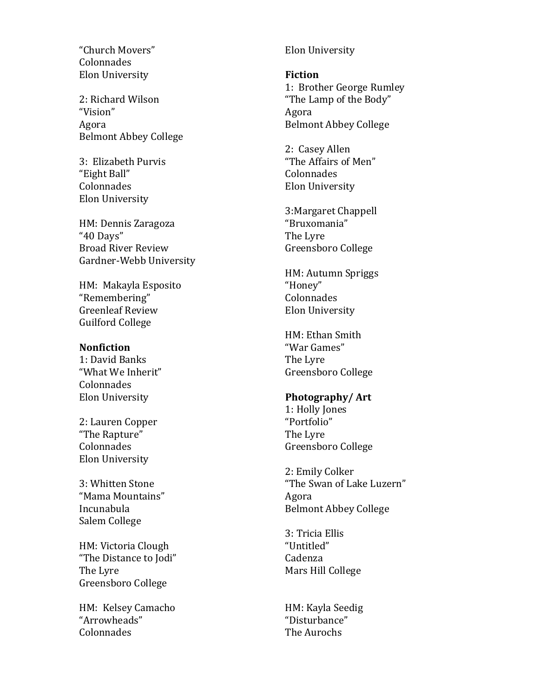"Church Movers" Colonnades Elon University

2: Richard Wilson "Vision" Agora Belmont Abbey College

3: Elizabeth Purvis "Eight Ball" Colonnades Elon University

HM: Dennis Zaragoza "40 Days" Broad River Review Gardner -Webb University

HM: Makayla Esposito "Remembering" Greenleaf Review Guilford College

#### **Nonfiction**

1: David Banks "What We Inherit" Colonnades Elon University

2: Lauren Copper "The Rapture" Colonnades Elon University

3: Whitten Stone "Mama Mountains" Incunabula Salem College

HM: Victoria Clough "The Distance to Jodi" The Lyre Greensboro College

HM: Kelsey Camacho "Arrowheads" Colonnades

Elon University

**Fiction** 1: Brother George Rumley "The Lamp of the Body" Agora Belmont Abbey College

2: Casey Allen "The Affairs of Men" Colonnades Elon University

3:Margaret Chappell "Bruxomania" The Lyre Greensboro College

HM: Autumn Spriggs "Honey" Colonnades Elon University

HM: Ethan Smith "War Games" The Lyre Greensboro College

## **Photography/ Art**

1: Holly Jones "Portfolio" The Lyre Greensboro College

2: Emily Colker "The Swan of Lake Luzern" Agora Belmont Abbey College

3: Tricia Ellis "Untitled" Cadenza Mars Hill College

HM: Kayla Seedig "Disturbance" The Aurochs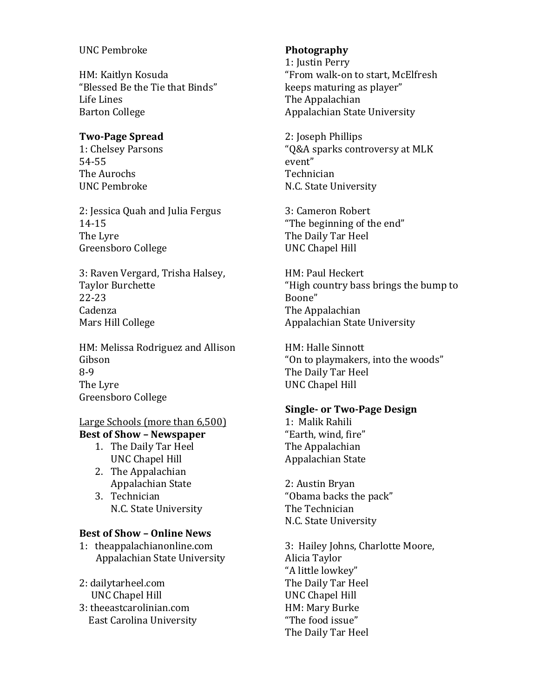## UNC Pembroke

HM: Kaitlyn Kosuda "Blessed Be the Tie that Binds" Life Lines Barton College

### **Two-Page Spread**

1: Chelsey Parsons 54-55 The Aurochs UNC Pembroke

2: Jessica Quah and Julia Fergus 14-15 The Lyre Greensboro College

3: Raven Vergard, Trisha Halsey, Taylor Burchette 22-23 Cadenza Mars Hill College

HM: Melissa Rodriguez and Allison Gibson 8-9 The Lyre Greensboro College

### Large Schools (more than 6,500) **Best of Show – Newspaper**

- 1. The Daily Tar Heel UNC Chapel Hill
- 2. The Appalachian Appalachian State
- 3. Technician N.C. State University

## **Best of Show – Online News**

1: theappalachianonline.com Appalachian State University

- 2: dailytarheel.com UNC Chapel Hill
- 3: theeastcarolinian.com East Carolina University

### **Photography**

1: Justin Perry "From walk-on to start, McElfresh keeps maturing as player" The Appalachian Appalachian State University

2: Joseph Phillips "Q&A sparks controversy at MLK event" Technician N.C. State University

3: Cameron Robert "The beginning of the end" The Daily Tar Heel UNC Chapel Hill

HM: Paul Heckert "High country bass brings the bump to Boone" The Appalachian Appalachian State University

HM: Halle Sinnott "On to playmakers, into the woods" The Daily Tar Heel UNC Chapel Hill

### **Single- or Two-Page Design**

1: Malik Rahili "Earth, wind, fire" The Appalachian Appalachian State

2: Austin Bryan "Obama backs the pack" The Technician N.C. State University

3: Hailey Johns, Charlotte Moore, Alicia Taylor "A little lowkey" The Daily Tar Heel UNC Chapel Hill HM: Mary Burke "The food issue" The Daily Tar Heel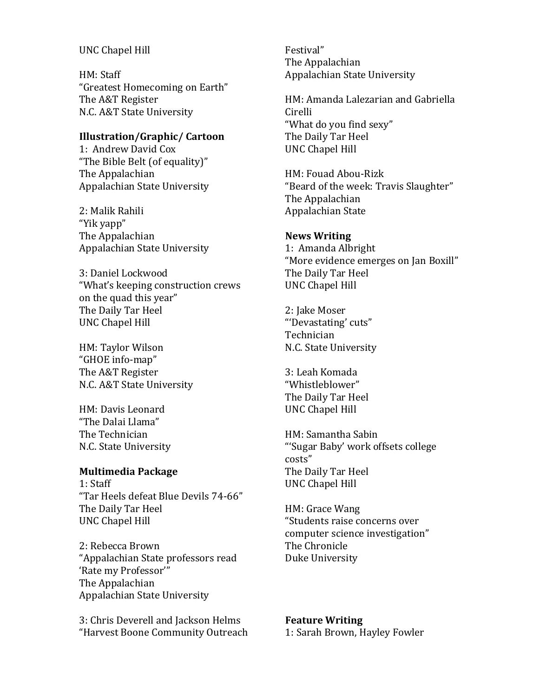#### UNC Chapel Hill

HM: Staff "Greatest Homecoming on Earth" The A&T Register N.C. A&T State University

## **Illustration/Graphic/ Cartoon**

1: Andrew David Cox "The Bible Belt (of equality)" The Appalachian Appalachian State University

2: Malik Rahili "Yik yapp" The Appalachian Appalachian State University

3: Daniel Lockwood "What's keeping construction crews on the quad this year" The Daily Tar Heel UNC Chapel Hill

HM: Taylor Wilson "GHOE info-map" The A&T Register N.C. A&T State University

HM: Davis Leonard "The Dalai Llama" The Technician N.C. State University

## **Multimedia Package**

1: Staff "Tar Heels defeat Blue Devils 74-66" The Daily Tar Heel UNC Chapel Hill

2: Rebecca Brown "Appalachian State professors read 'Rate my Professor'" The Appalachian Appalachian State University

3: Chris Deverell and Jackson Helms "Harvest Boone Community Outreach Festival" The Appalachian Appalachian State University

HM: Amanda Lalezarian and Gabriella Cirelli "What do you find sexy" The Daily Tar Heel UNC Chapel Hill

HM: Fouad Abou-Rizk "Beard of the week: Travis Slaughter" The Appalachian Appalachian State

### **News Writing**

1: Amanda Albright "More evidence emerges on Jan Boxill" The Daily Tar Heel UNC Chapel Hill

2: Jake Moser "'Devastating' cuts" Technician N.C. State University

3: Leah Komada "Whistleblower" The Daily Tar Heel UNC Chapel Hill

HM: Samantha Sabin "'Sugar Baby' work offsets college costs" The Daily Tar Heel UNC Chapel Hill

HM: Grace Wang "Students raise concerns over computer science investigation" The Chronicle Duke University

**Feature Writing** 1: Sarah Brown, Hayley Fowler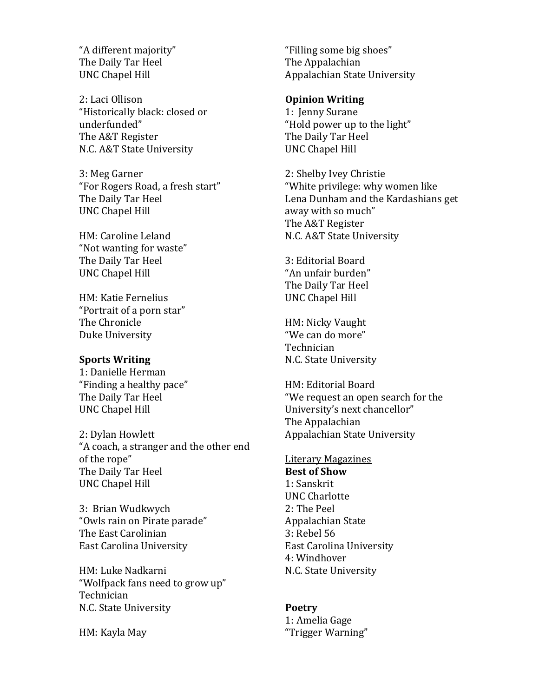"A different majority" The Daily Tar Heel UNC Chapel Hill

2: Laci Ollison "Historically black: closed or underfunded" The A&T Register N.C. A&T State University

3: Meg Garner "For Rogers Road, a fresh start" The Daily Tar Heel UNC Chapel Hill

HM: Caroline Leland "Not wanting for waste" The Daily Tar Heel UNC Chapel Hill

HM: Katie Fernelius "Portrait of a porn star" The Chronicle Duke University

### **Sports Writing**

1: Danielle Herman "Finding a healthy pace" The Daily Tar Heel UNC Chapel Hill

2: Dylan Howlett "A coach, a stranger and the other end of the rope" The Daily Tar Heel UNC Chapel Hill

3: Brian Wudkwych "Owls rain on Pirate parade" The East Carolinian East Carolina University

HM: Luke Nadkarni "Wolfpack fans need to grow up" Technician N.C. State University

HM: Kayla May

"Filling some big shoes" The Appalachian Appalachian State University

# **Opinion Writing**

1: Jenny Surane "Hold power up to the light" The Daily Tar Heel UNC Chapel Hill

2: Shelby Ivey Christie "White privilege: why women like Lena Dunham and the Kardashians get away with so much" The A&T Register N.C. A&T State University

3: Editorial Board "An unfair burden" The Daily Tar Heel UNC Chapel Hill

HM: Nicky Vaught "We can do more" Technician N.C. State University

HM: Editorial Board "We request an open search for the University's next chancellor" The Appalachian Appalachian State University

Literary Magazines **Best of Show** 1: Sanskrit UNC Charlotte 2: The Peel Appalachian State 3: Rebel 56 East Carolina University 4: Windhover N.C. State University

## **Poetry**

1: Amelia Gage "Trigger Warning"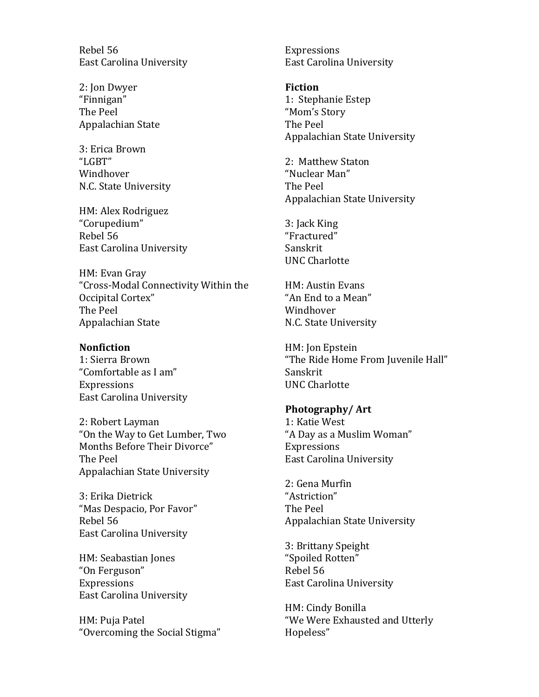Rebel 56 East Carolina University

2: Jon Dwyer "Finnigan" The Peel Appalachian State

3: Erica Brown "LGBT" Windhover N.C. State University

HM: Alex Rodriguez "Corupedium" Rebel 56 East Carolina University

HM: Evan Gray "Cross-Modal Connectivity Within the Occipital Cortex" The Peel Appalachian State

#### **Nonfiction**

1: Sierra Brown "Comfortable as I am" Expressions East Carolina University

2: Robert Layman "On the Way to Get Lumber, Two Months Before Their Divorce" The Peel Appalachian State University

3: Erika Dietrick "Mas Despacio, Por Favor" Rebel 56 East Carolina University

HM: Seabastian Jones "On Ferguson" Expressions East Carolina University

HM: Puja Patel "Overcoming the Social Stigma" Expressions East Carolina University

**Fiction** 1: Stephanie Estep "Mom's Story The Peel Appalachian State University

2: Matthew Staton "Nuclear Man" The Peel Appalachian State University

3: Jack King "Fractured" Sanskrit UNC Charlotte

HM: Austin Evans "An End to a Mean" Windhover N.C. State University

HM: Jon Epstein "The Ride Home From Juvenile Hall" Sanskrit UNC Charlotte

#### **Photography/ Art**

1: Katie West "A Day as a Muslim Woman" Expressions East Carolina University

2: Gena Murfin "Astriction" The Peel Appalachian State University

3: Brittany Speight "Spoiled Rotten" Rebel 56 East Carolina University

HM: Cindy Bonilla "We Were Exhausted and Utterly Hopeless"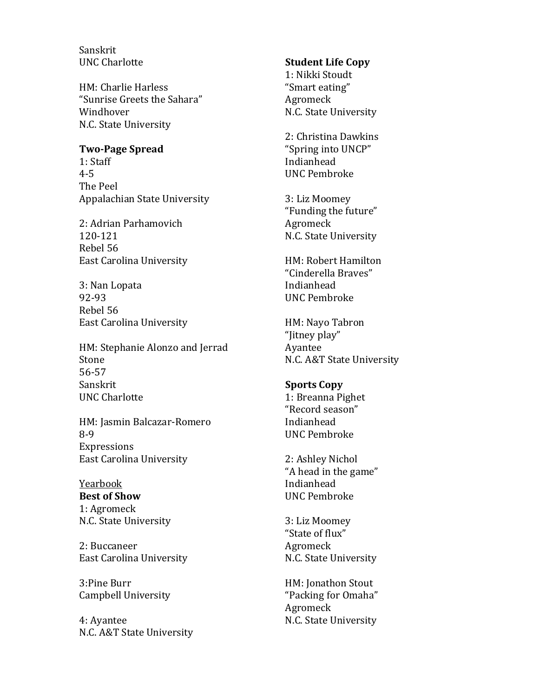Sanskrit UNC Charlotte

HM: Charlie Harless "Sunrise Greets the Sahara" Windhover N.C. State University

#### **Two-Page Spread**

1: Staff 4-5 The Peel Appalachian State University

2: Adrian Parhamovich 120-121 Rebel 56 East Carolina University

3: Nan Lopata 92-93 Rebel 56 East Carolina University

HM: Stephanie Alonzo and Jerrad Stone 56-57 Sanskrit UNC Charlotte

HM: Jasmin Balcazar-Romero 8-9 Expressions East Carolina University

Yearbook **Best of Show** 1: Agromeck N.C. State University

2: Buccaneer East Carolina University

3:Pine Burr Campbell University

4: Ayantee N.C. A&T State University

### **Student Life Copy**

1: Nikki Stoudt "Smart eating" Agromeck N.C. State University

2: Christina Dawkins "Spring into UNCP" Indianhead UNC Pembroke

3: Liz Moomey "Funding the future" Agromeck N.C. State University

HM: Robert Hamilton "Cinderella Braves" Indianhead UNC Pembroke

HM: Nayo Tabron "Jitney play" Ayantee N.C. A&T State University

### **Sports Copy**

1: Breanna Pighet "Record season" Indianhead UNC Pembroke

2: Ashley Nichol "A head in the game" Indianhead UNC Pembroke

3: Liz Moomey "State of flux" Agromeck N.C. State University

HM: Jonathon Stout "Packing for Omaha" Agromeck N.C. State University